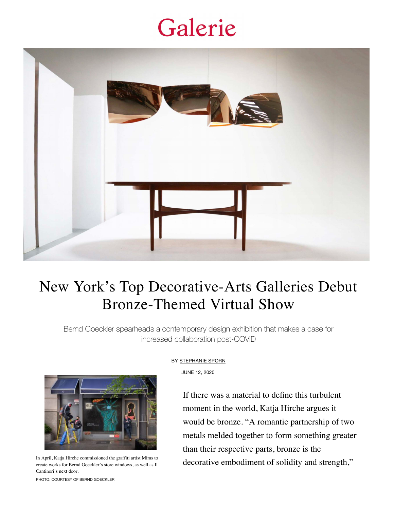## Galerie



## New York's Top Decorative-Arts Galleries Debut Bronze-Themed Virtual Show

Bernd Goeckler spearheads a contemporary design exhibition that makes a case for increased collaboration post-COVID



In April, Katja Hirche commissioned the graffiti artist Mims to create works for Bernd Goeckler's store windows, as well as Il Cantinori's next door.

BY [STEPHANIE SPORN](https://www.galeriemagazine.com/author/stephanie/)

JUNE 12, 2020

[If there was a material to define this turbulent](https://www.bgoecklerantiques.com/viewing-room) moment in the world, Katja Hirche argues it would be bronze. "A romantic partnership of two metals melded together to form something greater than their respective parts, bronze is the decorative embodiment of solidity and strength,"

PHOTO: COURTESY OF BERND GOECKLER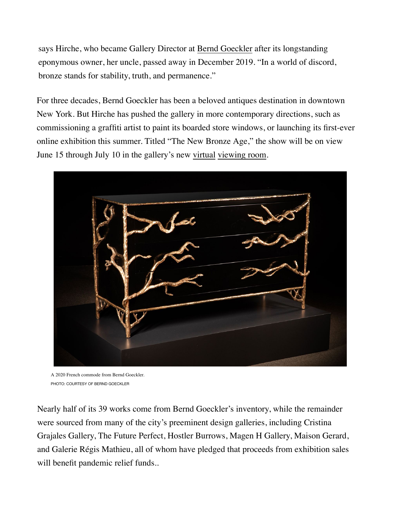says Hirche, who became Gallery Director at Bernd Goeckler after its longstanding eponymous owner, her uncle, passed away in December 2019. "In a world of discord, bronze stands for stability, truth, and permanence."

For three decades, Bernd Goeckler has been a beloved antiques destination in downtown New York. But Hirche has pushed the gallery in more contemporary directions, such as commissioning a graffiti artist to paint its boarded store windows, or launching its first-ever online exhibition this summer. Titled "The New Bronze Age," the show will be on view June 15 through July 10 in the gallery's new virtual viewing room.



A 2020 French commode from Bernd Goeckler. PHOTO: COURTESY OF BERND GOECKLER

Nearly half of its 39 works come from Bernd Goeckler's inventory, while the remainder were sourced from many of the city's preeminent design galleries, including Cristina Grajales Gallery, The Future Perfect, Hostler Burrows, Magen H Gallery, Maison Gerard, and Galerie Régis Mathieu, all of whom have pledged that proceeds from exhibition sales will benefit pandemic relief funds..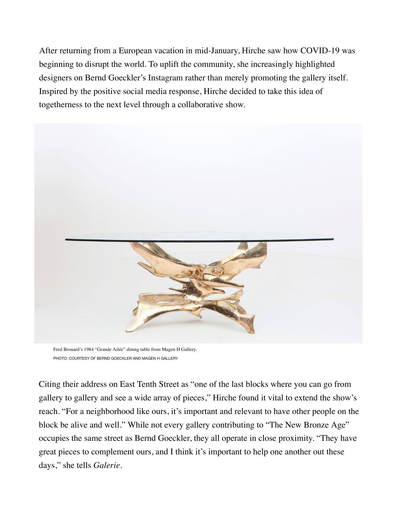After returning from a European vacation in mid-January, Hirche saw how COVID-19 was beginning to disrupt the world. To uplift the community, she increasingly highlighted designers on Bernd Goeckler's Instagram rather than merely promoting the gallery itself. Inspired by the positive social media response, Hirche decided to take this idea of togetherness to the next level through a collaborative show.



Fred Brouard's 1984 "Grande Ailée" dining table from Magen H Gallery. PHOTO: COURTESY OF BERND GOECKLER AND MAGEN H GALLERY

Citing their address on East Tenth Street as "one of the last blocks where you can go from gallery to gallery and see a wide array of pieces," Hirche found it vital to extend the show's reach. "For a neighborhood like ours, it's important and relevant to have other people on the block be alive and well." While not every gallery contributing to "The New Bronze Age" occupies the same street as Bernd Goeckler, they all operate in close proximity. "They have great pieces to complement ours, and I think it's important to help one another out these days," she tells *Galerie*.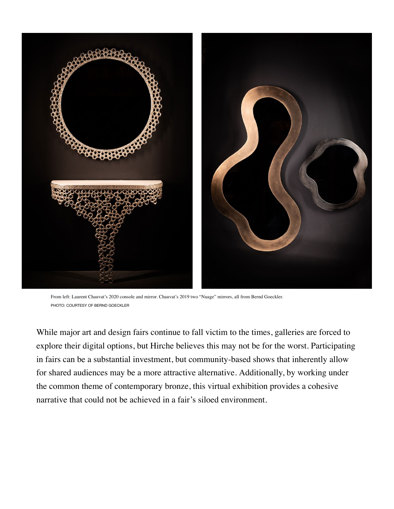

From left: Laurent Chauvat's 2020 console and mirror. Chauvat's 2019 two "Nuage" mirrors, all from Bernd Goeckler. PHOTO: COURTESY OF BERND GOECKLER

While major art and design fairs continue to fall victim to the times, galleries are forced to explore their digital options, but Hirche believes this may not be for the worst. Participating in fairs can be a substantial investment, but community-based shows that inherently allow for shared audiences may be a more attractive alternative. Additionally, by working under the common theme of contemporary bronze, this virtual exhibition provides a cohesive narrative that could not be achieved in a fair's siloed environment.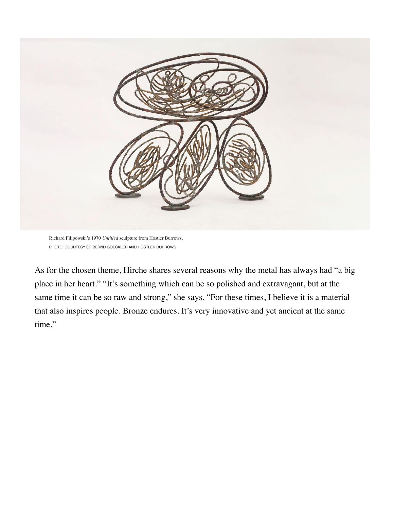

Richard Filipowski's 1970 *Untitled* sculpture from Hostler Burrows. PHOTO: COURTESY OF BERND GOECKLER AND HOSTLER BURROWS

As for the chosen theme, Hirche shares several reasons why the metal has always had "a big place in her heart." "It's something which can be so polished and extravagant, but at the same time it can be so raw and strong," she says. "For these times, I believe it is a material that also inspires people. Bronze endures. It's very innovative and yet ancient at the same time."